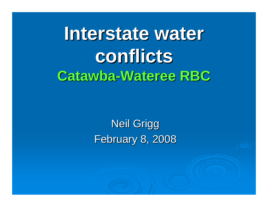# **Interstate water conflicts conflicts Catawba Catawba -Wateree RBC Wateree RBC**

Neil Grigg **February 8, 2008**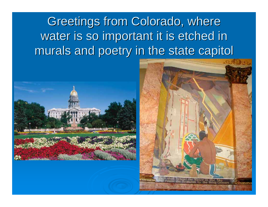Greetings from Colorado, where water is so important it is etched in murals and poetry in the state capitol



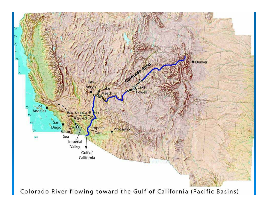

Colorado River flowing toward the Gulf of California (Pacific Basins)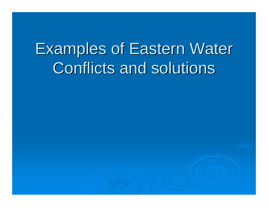# Examples of Eastern Water Conflicts and solutions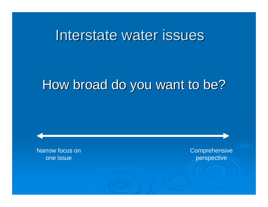#### Interstate water issues

#### How broad do you want to be?

Narrow focus on one issue

**Comprehensive** perspective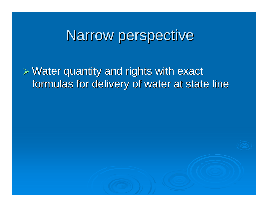# Narrow perspective

 $\triangleright$  Water quantity and rights with exact formulas for delivery of water at state line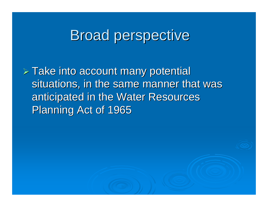## Broad perspective Broad perspective

 $\triangleright$  Take into account many potential situations, in the same manner that was anticipated in the Water Resources Planning Act of 1965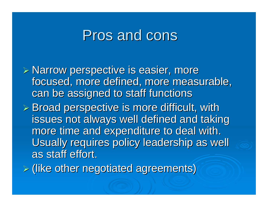#### Pros and cons

 $\triangleright$  Narrow perspective is easier, more focused, more defined, more measurable, can be assigned to staff functions

 $\triangleright$  Broad perspective is more difficult, with issues not always well defined and taking more time and expenditure to deal with. Usually requires policy leadership as well as staff effort.

¾ (like other negotiated agreements) (like other negotiated agreements)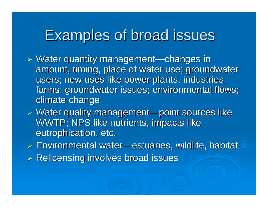### Examples of broad issues

- $\triangleright$  Water quantity management—changes in amount, timing, place of water use; groundwater users; new uses like power plants, industries, farms; groundwater issues; environmental flows; climate change.
- $\triangleright$  Water quality management—point sources like WWTP; NPS like nutrients, impacts like eutrophication, etc.
- $\triangleright$  Environmental water—estuaries, wildlife, habitat
- $\triangleright$  Relicensing involves broad issues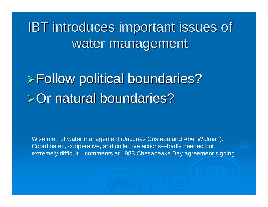IBT introduces important issues of water management

<sup>¾</sup>Follow political boundaries? Follow political boundaries?  $\geq$ Or natural boundaries?

Wise men of water management (Jacques Costeau and Abel Wolman): Coordinated, cooperative, and collective actions—badly needed but extremely difficult—comments at 1983 Chesapeake Bay agreement signing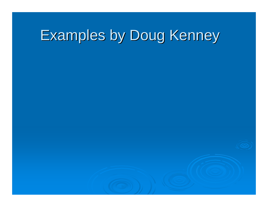# Examples by Doug Kenney

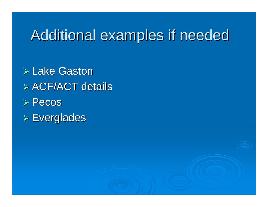# Additional examples if needed

**> Lake Gaston**  $\triangleright$  ACF/ACT details ¾ Pecos  $\triangleright$  Everglades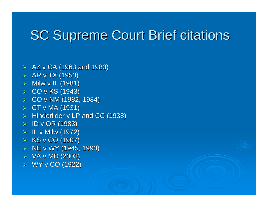#### **SC Supreme Court Brief citations**

- $\triangleright$  AZ v CA (1963 and 1983)
- ➢  AR v TX (1953)
- ≻ Milw v IL (1981)
- ¾ CO v KS (1943) CO v KS (1943)
- ¾ CO v NM (1982, 1984) CO v NM (1982, 1984)
- ➢ CT v MA (1931)
- $\triangleright$  Hinderlider v LP and CC (1938)
- ¾ ID v OR (1983) ID v OR (1983)
- ¾ IL v Milw (1972)
- ¾ KS v CO (1907) KS v CO (1907)
- $> \,$  NE v WY (1945, 1993)
- ➢ VA v MD (2003)
- ¾ WY v CO (1922) WY v CO (1922)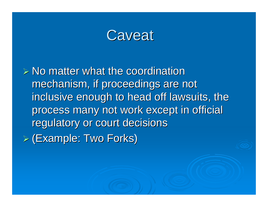#### **Caveat**

 $\triangleright$  No matter what the coordination mechanism, if proceedings are not inclusive enough to head off lawsuits, the process many not work except in official regulatory or court decisions ¾ (Example: Two Forks) (Example: Two Forks)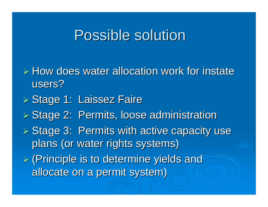### **Possible solution**

 $\triangleright$  How does water allocation work for instate users?**> Stage 1: Laissez Faire**  $\Sigma >$  Stage 2: Permits, loose administration  $\triangleright$  Stage 3: Permits with active capacity use plans (or water rights systems)  $\triangleright$  (Principle is to determine yields and allocate on a permit system)